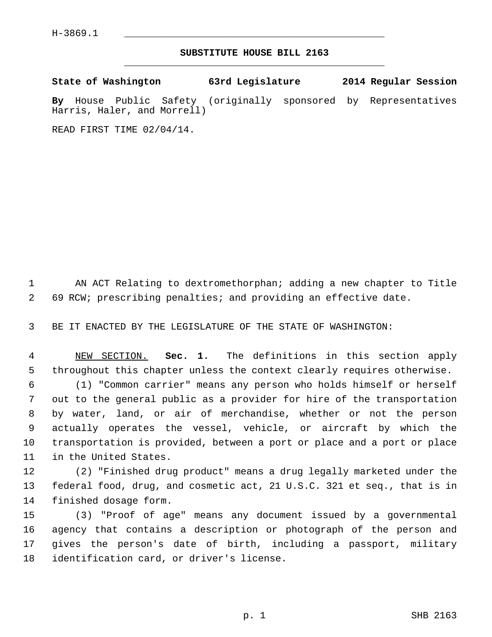$H-3869.1$ 

## **SUBSTITUTE HOUSE BILL 2163** \_\_\_\_\_\_\_\_\_\_\_\_\_\_\_\_\_\_\_\_\_\_\_\_\_\_\_\_\_\_\_\_\_\_\_\_\_\_\_\_\_\_\_\_\_

| State of Washington |  |  |                             | 63rd Legislature                                                |  | 2014 Regular Session |  |
|---------------------|--|--|-----------------------------|-----------------------------------------------------------------|--|----------------------|--|
|                     |  |  | Harris, Haler, and Morrell) | By House Public Safety (originally sponsored by Representatives |  |                      |  |

READ FIRST TIME 02/04/14.

 1 AN ACT Relating to dextromethorphan; adding a new chapter to Title 2 69 RCW; prescribing penalties; and providing an effective date.

3 BE IT ENACTED BY THE LEGISLATURE OF THE STATE OF WASHINGTON:

 4 NEW SECTION. **Sec. 1.** The definitions in this section apply 5 throughout this chapter unless the context clearly requires otherwise.

 6 (1) "Common carrier" means any person who holds himself or herself 7 out to the general public as a provider for hire of the transportation 8 by water, land, or air of merchandise, whether or not the person 9 actually operates the vessel, vehicle, or aircraft by which the 10 transportation is provided, between a port or place and a port or place 11 in the United States.

12 (2) "Finished drug product" means a drug legally marketed under the 13 federal food, drug, and cosmetic act, 21 U.S.C. 321 et seq., that is in 14 finished dosage form.

15 (3) "Proof of age" means any document issued by a governmental 16 agency that contains a description or photograph of the person and 17 gives the person's date of birth, including a passport, military 18 identification card, or driver's license.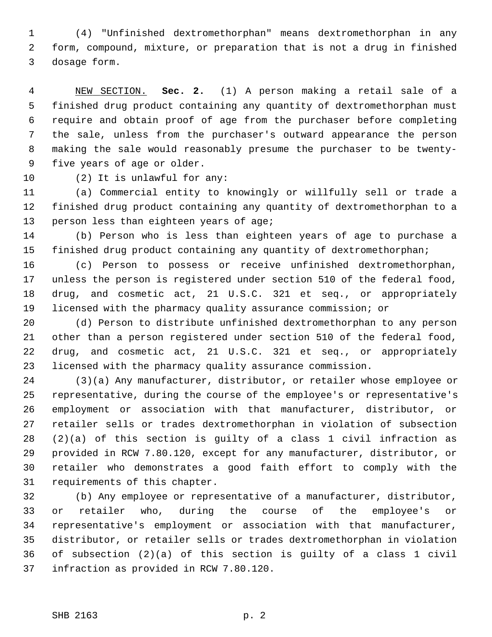1 (4) "Unfinished dextromethorphan" means dextromethorphan in any 2 form, compound, mixture, or preparation that is not a drug in finished 3 dosage form.

 4 NEW SECTION. **Sec. 2.** (1) A person making a retail sale of a 5 finished drug product containing any quantity of dextromethorphan must 6 require and obtain proof of age from the purchaser before completing 7 the sale, unless from the purchaser's outward appearance the person 8 making the sale would reasonably presume the purchaser to be twenty- 9 five years of age or older.

10 (2) It is unlawful for any:

11 (a) Commercial entity to knowingly or willfully sell or trade a 12 finished drug product containing any quantity of dextromethorphan to a 13 person less than eighteen years of age;

14 (b) Person who is less than eighteen years of age to purchase a 15 finished drug product containing any quantity of dextromethorphan;

16 (c) Person to possess or receive unfinished dextromethorphan, 17 unless the person is registered under section 510 of the federal food, 18 drug, and cosmetic act, 21 U.S.C. 321 et seq., or appropriately 19 licensed with the pharmacy quality assurance commission; or

20 (d) Person to distribute unfinished dextromethorphan to any person 21 other than a person registered under section 510 of the federal food, 22 drug, and cosmetic act, 21 U.S.C. 321 et seq., or appropriately 23 licensed with the pharmacy quality assurance commission.

24 (3)(a) Any manufacturer, distributor, or retailer whose employee or 25 representative, during the course of the employee's or representative's 26 employment or association with that manufacturer, distributor, or 27 retailer sells or trades dextromethorphan in violation of subsection 28 (2)(a) of this section is guilty of a class 1 civil infraction as 29 provided in RCW 7.80.120, except for any manufacturer, distributor, or 30 retailer who demonstrates a good faith effort to comply with the 31 requirements of this chapter.

32 (b) Any employee or representative of a manufacturer, distributor, 33 or retailer who, during the course of the employee's or 34 representative's employment or association with that manufacturer, 35 distributor, or retailer sells or trades dextromethorphan in violation 36 of subsection (2)(a) of this section is guilty of a class 1 civil 37 infraction as provided in RCW 7.80.120.